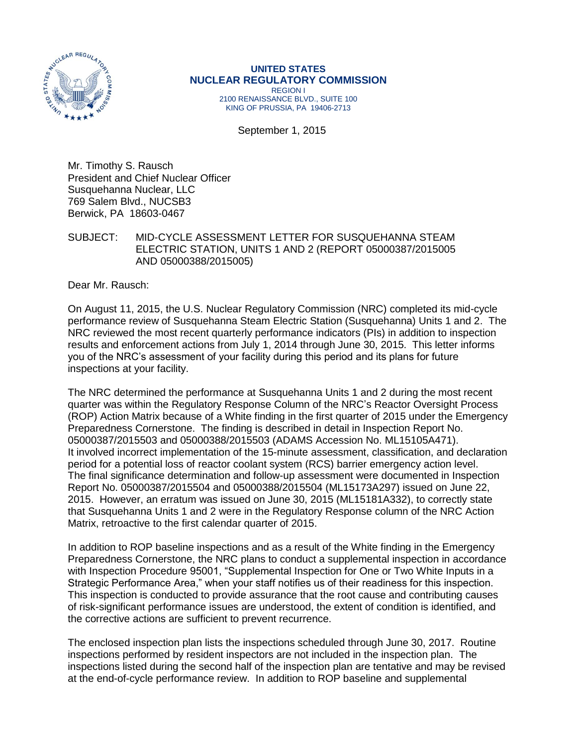

#### **UNITED STATES NUCLEAR REGULATORY COMMISSION** REGION I 2100 RENAISSANCE BLVD., SUITE 100 KING OF PRUSSIA, PA 19406-2713

September 1, 2015

Mr. Timothy S. Rausch President and Chief Nuclear Officer Susquehanna Nuclear, LLC 769 Salem Blvd., NUCSB3 Berwick, PA 18603-0467

SUBJECT: MID-CYCLE ASSESSMENT LETTER FOR SUSQUEHANNA STEAM ELECTRIC STATION, UNITS 1 AND 2 (REPORT 05000387/2015005 AND 05000388/2015005)

Dear Mr. Rausch:

On August 11, 2015, the U.S. Nuclear Regulatory Commission (NRC) completed its mid-cycle performance review of Susquehanna Steam Electric Station (Susquehanna) Units 1 and 2. The NRC reviewed the most recent quarterly performance indicators (PIs) in addition to inspection results and enforcement actions from July 1, 2014 through June 30, 2015. This letter informs you of the NRC's assessment of your facility during this period and its plans for future inspections at your facility.

The NRC determined the performance at Susquehanna Units 1 and 2 during the most recent quarter was within the Regulatory Response Column of the NRC's Reactor Oversight Process (ROP) Action Matrix because of a White finding in the first quarter of 2015 under the Emergency Preparedness Cornerstone. The finding is described in detail in Inspection Report No. 05000387/2015503 and 05000388/2015503 (ADAMS Accession No. ML15105A471). It involved incorrect implementation of the 15-minute assessment, classification, and declaration period for a potential loss of reactor coolant system (RCS) barrier emergency action level. The final significance determination and follow-up assessment were documented in Inspection Report No. 05000387/2015504 and 05000388/2015504 (ML15173A297) issued on June 22, 2015. However, an erratum was issued on June 30, 2015 (ML15181A332), to correctly state that Susquehanna Units 1 and 2 were in the Regulatory Response column of the NRC Action Matrix, retroactive to the first calendar quarter of 2015.

In addition to ROP baseline inspections and as a result of the White finding in the Emergency Preparedness Cornerstone, the NRC plans to conduct a supplemental inspection in accordance with Inspection Procedure 95001, "Supplemental Inspection for One or Two White Inputs in a Strategic Performance Area," when your staff notifies us of their readiness for this inspection. This inspection is conducted to provide assurance that the root cause and contributing causes of risk-significant performance issues are understood, the extent of condition is identified, and the corrective actions are sufficient to prevent recurrence.

The enclosed inspection plan lists the inspections scheduled through June 30, 2017. Routine inspections performed by resident inspectors are not included in the inspection plan. The inspections listed during the second half of the inspection plan are tentative and may be revised at the end-of-cycle performance review. In addition to ROP baseline and supplemental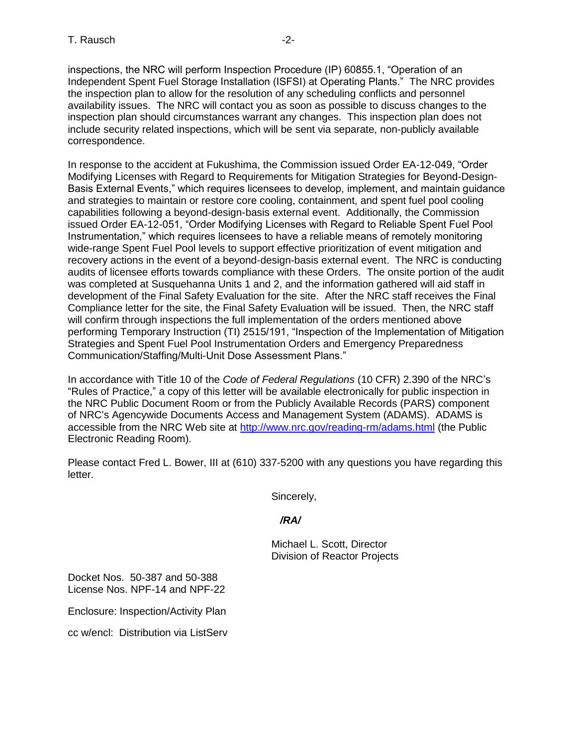inspections, the NRC will perform Inspection Procedure (IP) 60855.1, "Operation of an Independent Spent Fuel Storage Installation (ISFSI) at Operating Plants." The NRC provides the inspection plan to allow for the resolution of any scheduling conflicts and personnel availability issues. The NRC will contact you as soon as possible to discuss changes to the inspection plan should circumstances warrant any changes. This inspection plan does not include security related inspections, which will be sent via separate, non-publicly available correspondence.

In response to the accident at Fukushima, the Commission issued Order EA-12-049, "Order Modifying Licenses with Regard to Requirements for Mitigation Strategies for Beyond-Design-Basis External Events," which requires licensees to develop, implement, and maintain guidance and strategies to maintain or restore core cooling, containment, and spent fuel pool cooling capabilities following a beyond-design-basis external event. Additionally, the Commission issued Order EA-12-051, "Order Modifying Licenses with Regard to Reliable Spent Fuel Pool Instrumentation," which requires licensees to have a reliable means of remotely monitoring wide-range Spent Fuel Pool levels to support effective prioritization of event mitigation and recovery actions in the event of a beyond-design-basis external event. The NRC is conducting audits of licensee efforts towards compliance with these Orders. The onsite portion of the audit was completed at Susquehanna Units 1 and 2, and the information gathered will aid staff in development of the Final Safety Evaluation for the site. After the NRC staff receives the Final Compliance letter for the site, the Final Safety Evaluation will be issued. Then, the NRC staff will confirm through inspections the full implementation of the orders mentioned above performing Temporary Instruction (TI) 2515/191, "Inspection of the Implementation of Mitigation Strategies and Spent Fuel Pool Instrumentation Orders and Emergency Preparedness Communication/Staffing/Multi-Unit Dose Assessment Plans."

In accordance with Title 10 of the *Code of Federal Regulations* (10 CFR) 2.390 of the NRC's "Rules of Practice," a copy of this letter will be available electronically for public inspection in the NRC Public Document Room or from the Publicly Available Records (PARS) component of NRC's Agencywide Documents Access and Management System (ADAMS). ADAMS is accessible from the NRC Web site at<http://www.nrc.gov/reading-rm/adams.html> (the Public Electronic Reading Room).

Please contact Fred L. Bower, III at (610) 337-5200 with any questions you have regarding this letter.

Sincerely,

 */RA/*

Michael L. Scott, Director Division of Reactor Projects

Docket Nos. 50-387 and 50-388 License Nos. NPF-14 and NPF-22

Enclosure: Inspection/Activity Plan

cc w/encl: Distribution via ListServ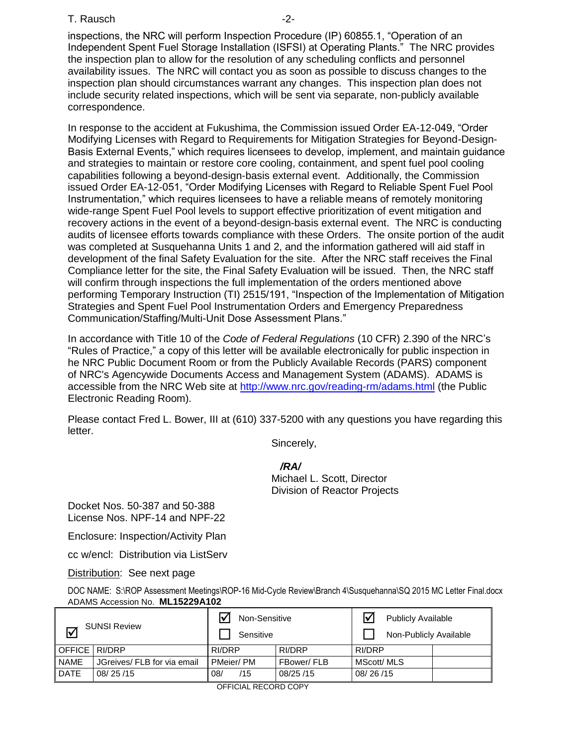#### T. Rausch and the contract of the contract of the contract of the contract of the contract of the contract of the contract of the contract of the contract of the contract of the contract of the contract of the contract of

inspections, the NRC will perform Inspection Procedure (IP) 60855.1, "Operation of an Independent Spent Fuel Storage Installation (ISFSI) at Operating Plants." The NRC provides the inspection plan to allow for the resolution of any scheduling conflicts and personnel availability issues. The NRC will contact you as soon as possible to discuss changes to the inspection plan should circumstances warrant any changes. This inspection plan does not include security related inspections, which will be sent via separate, non-publicly available correspondence.

In response to the accident at Fukushima, the Commission issued Order EA-12-049, "Order Modifying Licenses with Regard to Requirements for Mitigation Strategies for Beyond-Design-Basis External Events," which requires licensees to develop, implement, and maintain guidance and strategies to maintain or restore core cooling, containment, and spent fuel pool cooling capabilities following a beyond-design-basis external event. Additionally, the Commission issued Order EA-12-051, "Order Modifying Licenses with Regard to Reliable Spent Fuel Pool Instrumentation," which requires licensees to have a reliable means of remotely monitoring wide-range Spent Fuel Pool levels to support effective prioritization of event mitigation and recovery actions in the event of a beyond-design-basis external event. The NRC is conducting audits of licensee efforts towards compliance with these Orders. The onsite portion of the audit was completed at Susquehanna Units 1 and 2, and the information gathered will aid staff in development of the final Safety Evaluation for the site. After the NRC staff receives the Final Compliance letter for the site, the Final Safety Evaluation will be issued. Then, the NRC staff will confirm through inspections the full implementation of the orders mentioned above performing Temporary Instruction (TI) 2515/191, "Inspection of the Implementation of Mitigation Strategies and Spent Fuel Pool Instrumentation Orders and Emergency Preparedness Communication/Staffing/Multi-Unit Dose Assessment Plans."

In accordance with Title 10 of the *Code of Federal Regulations* (10 CFR) 2.390 of the NRC's "Rules of Practice," a copy of this letter will be available electronically for public inspection in he NRC Public Document Room or from the Publicly Available Records (PARS) component of NRC's Agencywide Documents Access and Management System (ADAMS). ADAMS is accessible from the NRC Web site at<http://www.nrc.gov/reading-rm/adams.html> (the Public Electronic Reading Room).

Please contact Fred L. Bower, III at (610) 337-5200 with any questions you have regarding this letter.

Sincerely,

*/RA/*

Michael L. Scott, Director Division of Reactor Projects

Docket Nos. 50-387 and 50-388 License Nos. NPF-14 and NPF-22

Enclosure: Inspection/Activity Plan

cc w/encl: Distribution via ListServ

Distribution: See next page

DOC NAME: S:\ROP Assessment Meetings\ROP-16 Mid-Cycle Review\Branch 4\Susquehanna\SQ 2015 MC Letter Final.docx ADAMS Accession No. **ML15229A102** 

| <b>SUNSI Review</b><br>₩ |                             | Non-Sensitive<br>Sensitive |            | <b>Publicly Available</b><br>Non-Publicly Available |  |  |
|--------------------------|-----------------------------|----------------------------|------------|-----------------------------------------------------|--|--|
| OFFICE RI/DRP            |                             | RI/DRP                     | RI/DRP     | RI/DRP                                              |  |  |
| <b>NAME</b>              | JGreives/ FLB for via email | PMeier/PM                  | FBower/FLB | MScott/ MLS                                         |  |  |
| <b>DATE</b>              | 08/25/15                    | /15<br>08/                 | 08/25/15   | 08/26/15                                            |  |  |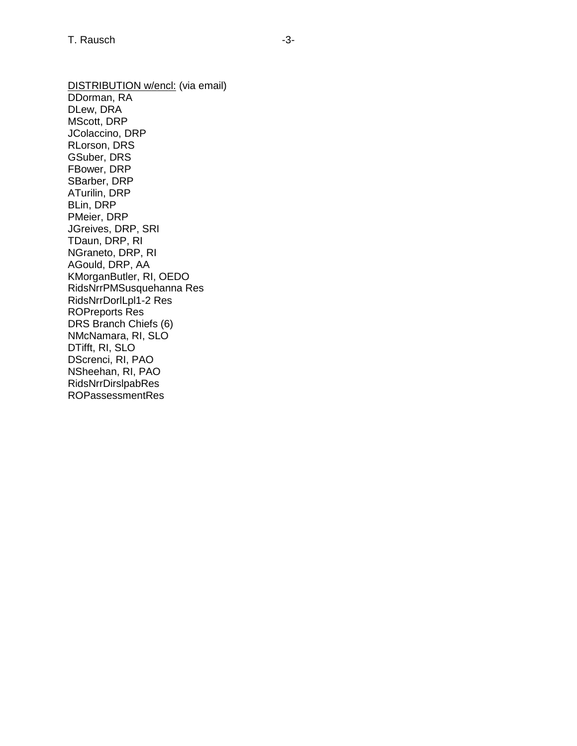DISTRIBUTION w/encl: (via email) DDorman, RA DLew, DRA MScott, DRP JColaccino, DRP RLorson, DRS GSuber, DRS FBower, DRP SBarber, DRP ATurilin, DRP BLin, DRP PMeier, DRP JGreives, DRP, SRI TDaun, DRP, RI NGraneto, DRP, RI AGould, DRP, AA KMorganButler, RI, OEDO RidsNrrPMSusquehanna Res RidsNrrDorlLpl1-2 Res ROPreports Res DRS Branch Chiefs (6) NMcNamara, RI, SLO DTifft, RI, SLO DScrenci, RI, PAO NSheehan, RI, PAO [RidsNrrDirslpabRes](mailto:RidsNrrDirslpab@nrc.gov) ROPassessmentRes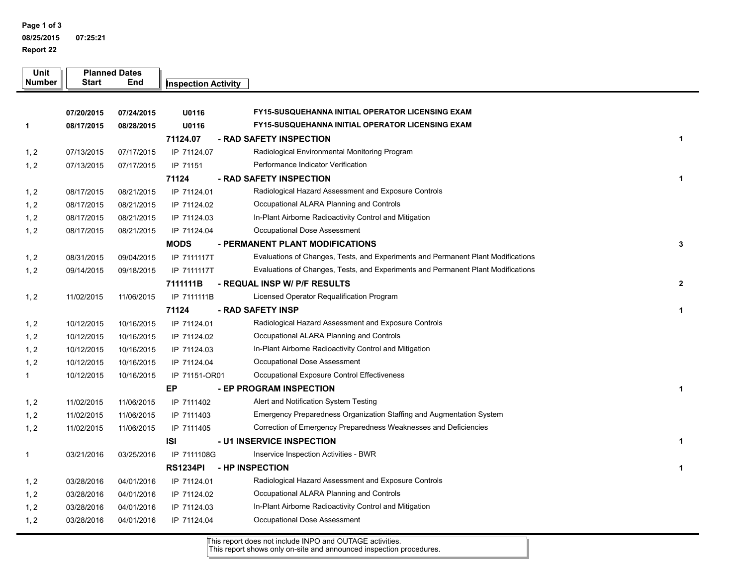**Page 1 of 3 08/25/201507:25:21**

**Report 22**

## **Susquehanna Inspection / Activity Plan 07/01/2015 - 06/30/2017**

| <b>Unit</b><br>Number | <b>Start</b> | <b>Planned Dates</b><br>End | <b>Inspection Activity</b> | <b>Title</b>                                                                     | No. of Staff<br>on Site |
|-----------------------|--------------|-----------------------------|----------------------------|----------------------------------------------------------------------------------|-------------------------|
|                       |              |                             | <b>8/17EXAM</b>            | - INITIAL OL EXAM                                                                | 3                       |
|                       | 07/20/2015   | 07/24/2015                  | U01916                     | FY15-SUSQUEHANNA INITIAL OPERATOR LICENSING EXAM                                 |                         |
| 1                     | 08/17/2015   | 08/28/2015                  | U01916                     | FY15-SUSQUEHANNA INITIAL OPERATOR LICENSING EXAM                                 |                         |
|                       |              |                             | 71124.07                   | - RAD SAFETY INSPECTION                                                          | $\mathbf{1}$            |
| 1, 2                  | 07/13/2015   | 07/17/2015                  | IP 71124.07                | Radiological Environmental Monitoring Program                                    |                         |
| 1, 2                  | 07/13/2015   | 07/17/2015                  | IP 71151                   | Performance Indicator Verification                                               |                         |
|                       |              |                             | 71124                      | - RAD SAFETY INSPECTION                                                          | $\mathbf{1}$            |
| 1, 2                  | 08/17/2015   | 08/21/2015                  | IP 71124.01                | Radiological Hazard Assessment and Exposure Controls                             |                         |
| 1, 2                  | 08/17/2015   | 08/21/2015                  | IP 71124.02                | Occupational ALARA Planning and Controls                                         |                         |
| 1, 2                  | 08/17/2015   | 08/21/2015                  | IP 71124.03                | In-Plant Airborne Radioactivity Control and Mitigation                           |                         |
| 1, 2                  | 08/17/2015   | 08/21/2015                  | IP 71124.04                | Occupational Dose Assessment                                                     |                         |
|                       |              |                             | <b>MODS</b>                | - PERMANENT PLANT MODIFICATIONS                                                  | 3                       |
| 1, 2                  | 08/31/2015   | 09/04/2015                  | IP 7111117T                | Evaluations of Changes, Tests, and Experiments and Permanent Plant Modifications |                         |
| 1, 2                  | 09/14/2015   | 09/18/2015                  | IP 7111117T                | Evaluations of Changes, Tests, and Experiments and Permanent Plant Modifications |                         |
|                       |              |                             | 7111111B                   | - REQUAL INSP W/ P/F RESULTS                                                     | $\mathbf{2}$            |
| 1, 2                  | 11/02/2015   | 11/06/2015                  | IP 7111111B                | Licensed Operator Requalification Program                                        |                         |
|                       |              |                             | 71124                      | - RAD SAFETY INSP                                                                | $\mathbf{1}$            |
| 1, 2                  | 10/12/2015   | 10/16/2015                  | IP 71124.01                | Radiological Hazard Assessment and Exposure Controls                             |                         |
| 1, 2                  | 10/12/2015   | 10/16/2015                  | IP 71124.02                | Occupational ALARA Planning and Controls                                         |                         |
| 1, 2                  | 10/12/2015   | 10/16/2015                  | IP 71124.03                | In-Plant Airborne Radioactivity Control and Mitigation                           |                         |
| 1, 2                  | 10/12/2015   | 10/16/2015                  | IP 71124.04                | Occupational Dose Assessment                                                     |                         |
| $\mathbf 1$           | 10/12/2015   | 10/16/2015                  | IP 71151-OR01              | Occupational Exposure Control Effectiveness                                      |                         |
|                       |              |                             | EP                         | - EP PROGRAM INSPECTION                                                          | $\mathbf{1}$            |
| 1, 2                  | 11/02/2015   | 11/06/2015                  | IP 7111402                 | Alert and Notification System Testing                                            |                         |
| 1, 2                  | 11/02/2015   | 11/06/2015                  | IP 7111403                 | Emergency Preparedness Organization Staffing and Augmentation System             |                         |
| 1, 2                  | 11/02/2015   | 11/06/2015                  | IP 7111405                 | Correction of Emergency Preparedness Weaknesses and Deficiencies                 |                         |
|                       |              |                             | ISI                        | - U1 INSERVICE INSPECTION                                                        | $\mathbf{1}$            |
| 1                     | 03/21/2016   | 03/25/2016                  | IP 7111108G                | Inservice Inspection Activities - BWR                                            |                         |
|                       |              |                             | <b>RS1234PI</b>            | - HP INSPECTION                                                                  | $\mathbf{1}$            |
| 1, 2                  | 03/28/2016   | 04/01/2016                  | IP 71124.01                | Radiological Hazard Assessment and Exposure Controls                             |                         |
| 1, 2                  | 03/28/2016   | 04/01/2016                  | IP 71124.02                | Occupational ALARA Planning and Controls                                         |                         |
| 1, 2                  | 03/28/2016   | 04/01/2016                  | IP 71124.03                | In-Plant Airborne Radioactivity Control and Mitigation                           |                         |
| 1, 2                  | 03/28/2016   | 04/01/2016                  | IP 71124.04                | Occupational Dose Assessment                                                     |                         |

This report does not include INPO and OUTAGE activities.

This report shows only on-site and announced inspection procedures.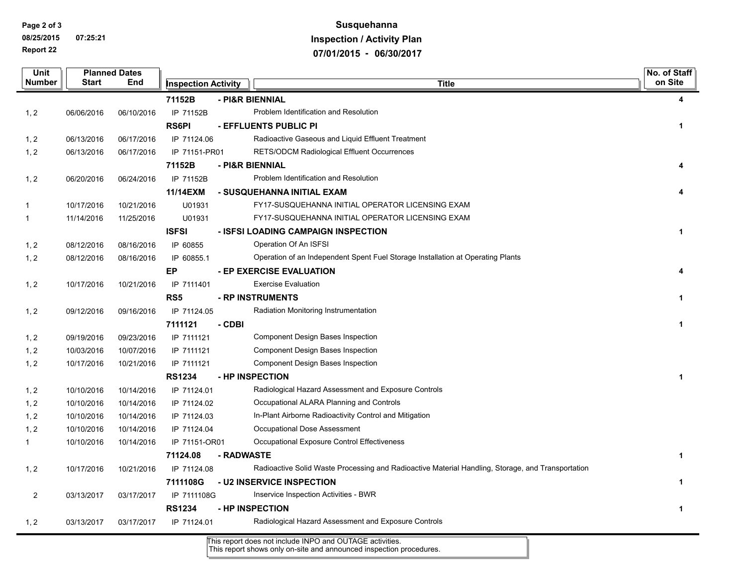**Page 2 of 3**

**08/25/2015 07:25:21 Report 22**

## **Susquehanna Inspection / Activity Plan 07/01/2015 - 06/30/2017**

| Unit                    | <b>Planned Dates</b> |            |                            |                 |                                                                                                   | No. of Staff         |
|-------------------------|----------------------|------------|----------------------------|-----------------|---------------------------------------------------------------------------------------------------|----------------------|
| Number                  | <b>Start</b>         | End        | <b>Inspection Activity</b> |                 | <b>Title</b>                                                                                      | on Site              |
|                         |                      |            | 71152B                     |                 | - PI&R BIENNIAL                                                                                   | 4                    |
| 1, 2                    | 06/06/2016           | 06/10/2016 | IP 71152B                  |                 | Problem Identification and Resolution                                                             |                      |
|                         |                      |            | <b>RS6PI</b>               |                 | - EFFLUENTS PUBLIC PI                                                                             | $\mathbf{1}$         |
| 1, 2                    | 06/13/2016           | 06/17/2016 | IP 71124.06                |                 | Radioactive Gaseous and Liquid Effluent Treatment                                                 |                      |
| 1, 2                    | 06/13/2016           | 06/17/2016 | IP 71151-PR01              |                 | <b>RETS/ODCM Radiological Effluent Occurrences</b>                                                |                      |
|                         |                      |            | 71152B                     | - PI&R BIENNIAL |                                                                                                   |                      |
| 1, 2                    | 06/20/2016           | 06/24/2016 | IP 71152B                  |                 | Problem Identification and Resolution                                                             |                      |
|                         |                      |            | 11/14EXM                   |                 | - SUSQUEHANNA INITIAL EXAM                                                                        |                      |
| $\mathbf 1$             | 10/17/2016           | 10/21/2016 | U01931                     |                 | FY17-SUSQUEHANNA INITIAL OPERATOR LICENSING EXAM                                                  |                      |
| 1                       | 11/14/2016           | 11/25/2016 | U01931                     |                 | FY17-SUSQUEHANNA INITIAL OPERATOR LICENSING EXAM                                                  |                      |
|                         |                      |            | <b>ISFSI</b>               |                 | - ISFSI LOADING CAMPAIGN INSPECTION                                                               | $\mathbf{1}$         |
| 1, 2                    | 08/12/2016           | 08/16/2016 | IP 60855                   |                 | Operation Of An ISFSI                                                                             |                      |
| 1, 2                    | 08/12/2016           | 08/16/2016 | IP 60855.1                 |                 | Operation of an Independent Spent Fuel Storage Installation at Operating Plants                   |                      |
|                         |                      |            | <b>EP</b>                  |                 | - EP EXERCISE EVALUATION                                                                          | Δ                    |
| 1, 2                    | 10/17/2016           | 10/21/2016 | IP 7111401                 |                 | <b>Exercise Evaluation</b>                                                                        |                      |
|                         |                      |            | RS <sub>5</sub>            |                 | - RP INSTRUMENTS                                                                                  | 1                    |
| 1, 2                    | 09/12/2016           | 09/16/2016 | IP 71124.05                |                 | Radiation Monitoring Instrumentation                                                              |                      |
|                         |                      |            | 7111121                    | - CDBI          |                                                                                                   | $\mathbf 1$          |
| 1, 2                    | 09/19/2016           | 09/23/2016 | IP 7111121                 |                 | Component Design Bases Inspection                                                                 |                      |
| 1, 2                    | 10/03/2016           | 10/07/2016 | IP 7111121                 |                 | Component Design Bases Inspection                                                                 |                      |
| 1, 2                    | 10/17/2016           | 10/21/2016 | IP 7111121                 |                 | Component Design Bases Inspection                                                                 |                      |
|                         |                      |            | <b>RS1234</b>              |                 | - HP INSPECTION                                                                                   | $\blacktriangleleft$ |
| 1, 2                    | 10/10/2016           | 10/14/2016 | IP 71124.01                |                 | Radiological Hazard Assessment and Exposure Controls                                              |                      |
| 1, 2                    | 10/10/2016           | 10/14/2016 | IP 71124.02                |                 | Occupational ALARA Planning and Controls                                                          |                      |
| 1, 2                    | 10/10/2016           | 10/14/2016 | IP 71124.03                |                 | In-Plant Airborne Radioactivity Control and Mitigation                                            |                      |
| 1, 2                    | 10/10/2016           | 10/14/2016 | IP 71124.04                |                 | Occupational Dose Assessment                                                                      |                      |
| $\mathbf{1}$            | 10/10/2016           | 10/14/2016 | IP 71151-OR01              |                 | Occupational Exposure Control Effectiveness                                                       |                      |
|                         |                      |            | 71124.08                   | - RADWASTE      |                                                                                                   | $\mathbf{1}$         |
| 1, 2                    | 10/17/2016           | 10/21/2016 | IP 71124.08                |                 | Radioactive Solid Waste Processing and Radioactive Material Handling, Storage, and Transportation |                      |
|                         |                      |            | 7111108G                   |                 | - U2 INSERVICE INSPECTION                                                                         | $\mathbf 1$          |
| $\overline{\mathbf{c}}$ | 03/13/2017           | 03/17/2017 | IP 7111108G                |                 | Inservice Inspection Activities - BWR                                                             |                      |
|                         |                      |            | <b>RS1234</b>              |                 | - HP INSPECTION                                                                                   | $\mathbf 1$          |
| 1, 2                    | 03/13/2017           | 03/17/2017 | IP 71124.01                |                 | Radiological Hazard Assessment and Exposure Controls                                              |                      |

This report does not include INPO and OUTAGE activities.

This report shows only on-site and announced inspection procedures.